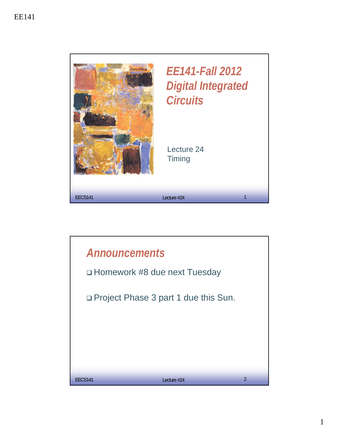

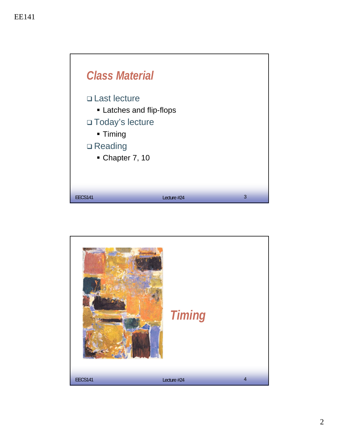

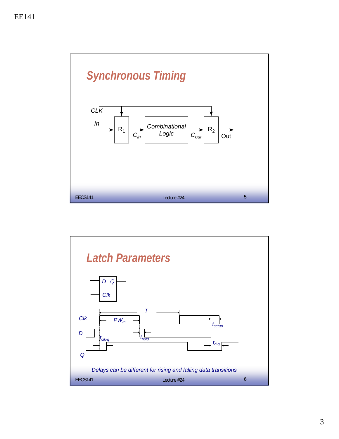

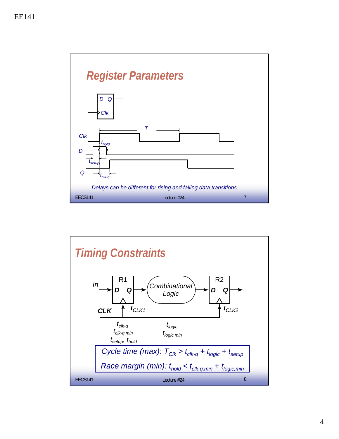

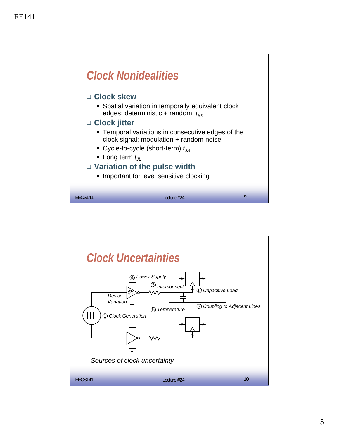

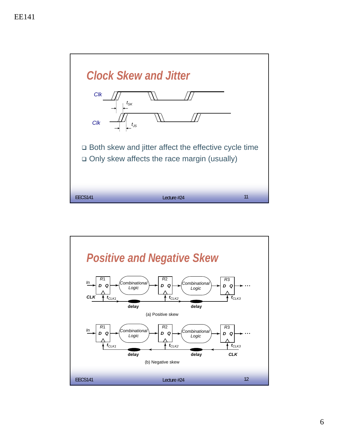

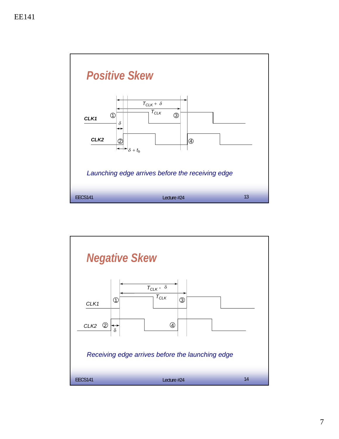

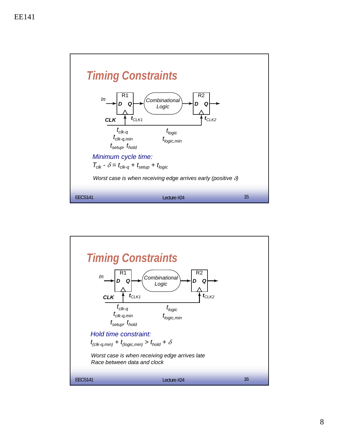

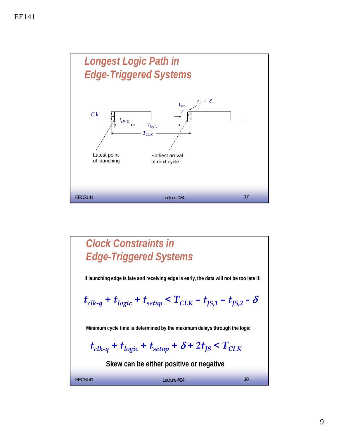

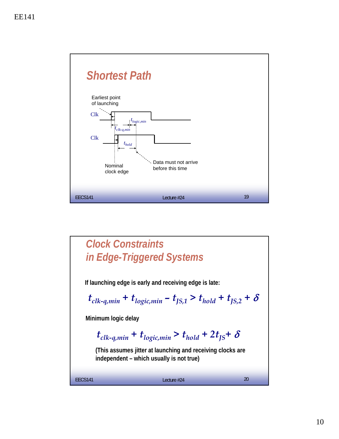

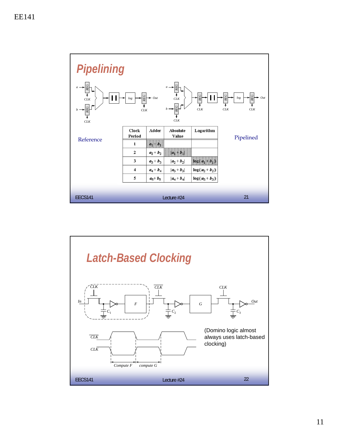

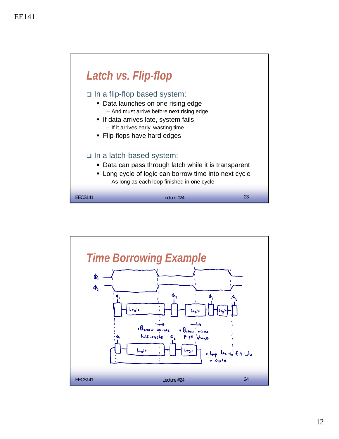